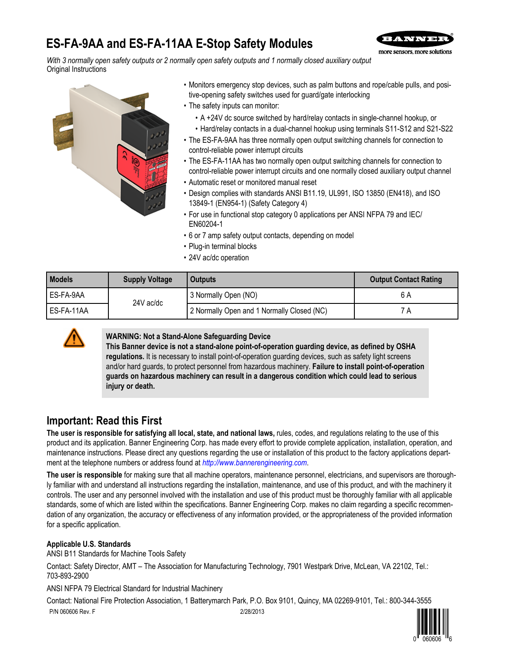# **ES-FA-9AA and ES-FA-11AA E-Stop Safety Modules**



*With 3 normally open safety outputs or 2 normally open safety outputs and 1 normally closed auxiliary output* Original Instructions



- Monitors emergency stop devices, such as palm buttons and rope/cable pulls, and positive-opening safety switches used for guard/gate interlocking
- The safety inputs can monitor:
	- A +24V dc source switched by hard/relay contacts in single-channel hookup, or
	- Hard/relay contacts in a dual-channel hookup using terminals S11-S12 and S21-S22
- The ES-FA-9AA has three normally open output switching channels for connection to control-reliable power interrupt circuits
- The ES-FA-11AA has two normally open output switching channels for connection to control-reliable power interrupt circuits and one normally closed auxiliary output channel
- Automatic reset or monitored manual reset
- Design complies with standards ANSI B11.19, UL991, ISO 13850 (EN418), and ISO 13849-1 (EN954-1) (Safety Category 4)
- For use in functional stop category 0 applications per ANSI NFPA 79 and IEC/ EN60204-1
- 6 or 7 amp safety output contacts, depending on model
- Plug-in terminal blocks
- 24V ac/dc operation

| <b>Models</b> | <b>Supply Voltage</b> | <b>Outputs</b>                             | <b>Output Contact Rating</b> |
|---------------|-----------------------|--------------------------------------------|------------------------------|
| l ES-FA-9AA   | 24V ac/dc             | 3 Normally Open (NO)                       | 6 A                          |
| l ES-FA-11AA  |                       | 2 Normally Open and 1 Normally Closed (NC) | ΄A                           |



#### **WARNING: Not a Stand-Alone Safeguarding Device**

**This Banner device is not a stand-alone point-of-operation guarding device, as defined by OSHA regulations.** It is necessary to install point-of-operation guarding devices, such as safety light screens and/or hard guards, to protect personnel from hazardous machinery. **Failure to install point-of-operation guards on hazardous machinery can result in a dangerous condition which could lead to serious injury or death.**

## **Important: Read this First**

**The user is responsible for satisfying all local, state, and national laws,** rules, codes, and regulations relating to the use of this product and its application. Banner Engineering Corp. has made every effort to provide complete application, installation, operation, and maintenance instructions. Please direct any questions regarding the use or installation of this product to the factory applications department at the telephone numbers or address found at *<http://www.bannerengineering.com>*.

**The user is responsible** for making sure that all machine operators, maintenance personnel, electricians, and supervisors are thoroughly familiar with and understand all instructions regarding the installation, maintenance, and use of this product, and with the machinery it controls. The user and any personnel involved with the installation and use of this product must be thoroughly familiar with all applicable standards, some of which are listed within the specifications. Banner Engineering Corp. makes no claim regarding a specific recommendation of any organization, the accuracy or effectiveness of any information provided, or the appropriateness of the provided information for a specific application.

### **Applicable U.S. Standards**

ANSI B11 Standards for Machine Tools Safety

Contact: Safety Director, AMT – The Association for Manufacturing Technology, 7901 Westpark Drive, McLean, VA 22102, Tel.: 703-893-2900

ANSI NFPA 79 Electrical Standard for Industrial Machinery

Contact: National Fire Protection Association, 1 Batterymarch Park, P.O. Box 9101, Quincy, MA 02269-9101, Tel.: 800-344-3555 P/N 060606 Rev. F 2/28/2013

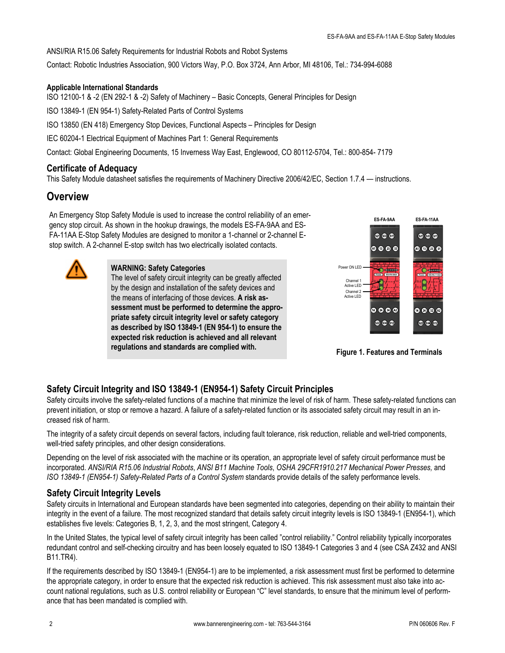<span id="page-1-0"></span>ANSI/RIA R15.06 Safety Requirements for Industrial Robots and Robot Systems

Contact: Robotic Industries Association, 900 Victors Way, P.O. Box 3724, Ann Arbor, MI 48106, Tel.: 734-994-6088

#### **Applicable International Standards**

ISO 12100-1 & -2 (EN 292-1 & -2) Safety of Machinery – Basic Concepts, General Principles for Design

ISO 13849-1 (EN 954-1) Safety-Related Parts of Control Systems

ISO 13850 (EN 418) Emergency Stop Devices, Functional Aspects – Principles for Design

IEC 60204-1 Electrical Equipment of Machines Part 1: General Requirements

Contact: Global Engineering Documents, 15 Inverness Way East, Englewood, CO 80112-5704, Tel.: 800-854- 7179

### **Certificate of Adequacy**

This Safety Module datasheet satisfies the requirements of Machinery Directive 2006/42/EC, Section 1.7.4 — instructions.

## **Overview**

An Emergency Stop Safety Module is used to increase the control reliability of an emergency stop circuit. As shown in the hookup drawings, the models ES-FA-9AA and ES-FA-11AA E-Stop Safety Modules are designed to monitor a 1-channel or 2-channel Estop switch. A 2-channel E-stop switch has two electrically isolated contacts.



#### **WARNING: Safety Categories**

The level of safety circuit integrity can be greatly affected by the design and installation of the safety devices and the means of interfacing of those devices. **A risk assessment must be performed to determine the appropriate safety circuit integrity level or safety category as described by ISO 13849-1 (EN 954-1) to ensure the expected risk reduction is achieved and all relevant regulations and standards are complied with.**



**Figure 1. Features and Terminals**

### **Safety Circuit Integrity and ISO 13849-1 (EN954-1) Safety Circuit Principles**

Safety circuits involve the safety-related functions of a machine that minimize the level of risk of harm. These safety-related functions can prevent initiation, or stop or remove a hazard. A failure of a safety-related function or its associated safety circuit may result in an increased risk of harm.

The integrity of a safety circuit depends on several factors, including fault tolerance, risk reduction, reliable and well-tried components, well-tried safety principles, and other design considerations.

Depending on the level of risk associated with the machine or its operation, an appropriate level of safety circuit performance must be incorporated. *ANSI/RIA R15.06 Industrial Robots*, *ANSI B11 Machine Tools*, *OSHA 29CFR1910.217 Mechanical Power Presses,* and *ISO 13849-1 (EN954-1) Safety-Related Parts of a Control System* standards provide details of the safety performance levels.

### **Safety Circuit Integrity Levels**

Safety circuits in International and European standards have been segmented into categories, depending on their ability to maintain their integrity in the event of a failure. The most recognized standard that details safety circuit integrity levels is ISO 13849-1 (EN954-1), which establishes five levels: Categories B, 1, 2, 3, and the most stringent, Category 4.

In the United States, the typical level of safety circuit integrity has been called "control reliability." Control reliability typically incorporates redundant control and self-checking circuitry and has been loosely equated to ISO 13849-1 Categories 3 and 4 (see CSA Z432 and ANSI B11.TR4).

If the requirements described by ISO 13849-1 (EN954-1) are to be implemented, a risk assessment must first be performed to determine the appropriate category, in order to ensure that the expected risk reduction is achieved. This risk assessment must also take into account national regulations, such as U.S. control reliability or European "C" level standards, to ensure that the minimum level of performance that has been mandated is complied with.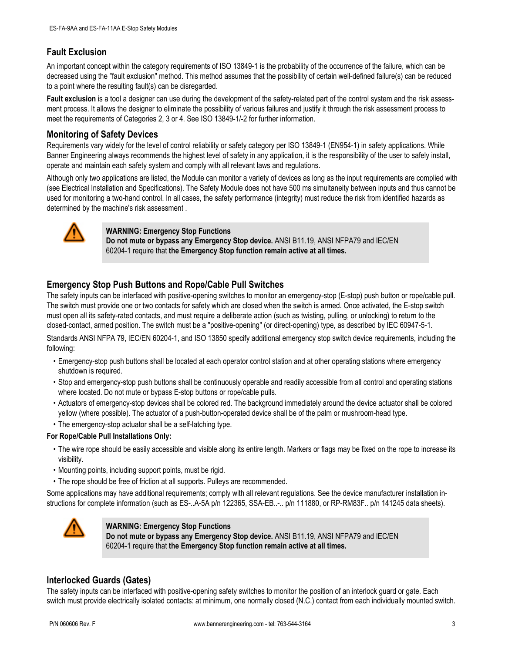### **Fault Exclusion**

An important concept within the category requirements of ISO 13849-1 is the probability of the occurrence of the failure, which can be decreased using the "fault exclusion" method. This method assumes that the possibility of certain well-defined failure(s) can be reduced to a point where the resulting fault(s) can be disregarded.

Fault exclusion is a tool a designer can use during the development of the safety-related part of the control system and the risk assessment process. It allows the designer to eliminate the possibility of various failures and justify it through the risk assessment process to meet the requirements of Categories 2, 3 or 4. See ISO 13849-1/-2 for further information.

### **Monitoring of Safety Devices**

Requirements vary widely for the level of control reliability or safety category per ISO 13849-1 (EN954-1) in safety applications. While Banner Engineering always recommends the highest level of safety in any application, it is the responsibility of the user to safely install, operate and maintain each safety system and comply with all relevant laws and regulations.

Although only two applications are listed, the Module can monitor a variety of devices as long as the input requirements are complied with (see Electrical Installation and Specifications). The Safety Module does not have 500 ms simultaneity between inputs and thus cannot be used for monitoring a two-hand control. In all cases, the safety performance (integrity) must reduce the risk from identified hazards as determined by the machine's risk assessment .



#### **WARNING: Emergency Stop Functions**

**Do not mute or bypass any Emergency Stop device.** ANSI B11.19, ANSI NFPA79 and IEC/EN 60204-1 require that **the Emergency Stop function remain active at all times.**

### **Emergency Stop Push Buttons and Rope/Cable Pull Switches**

The safety inputs can be interfaced with positive-opening switches to monitor an emergency-stop (E-stop) push button or rope/cable pull. The switch must provide one or two contacts for safety which are closed when the switch is armed. Once activated, the E-stop switch must open all its safety-rated contacts, and must require a deliberate action (such as twisting, pulling, or unlocking) to return to the closed-contact, armed position. The switch must be a "positive-opening" (or direct-opening) type, as described by IEC 60947-5-1.

Standards ANSI NFPA 79, IEC/EN 60204-1, and ISO 13850 specify additional emergency stop switch device requirements, including the following:

- Emergency-stop push buttons shall be located at each operator control station and at other operating stations where emergency shutdown is required.
- Stop and emergency-stop push buttons shall be continuously operable and readily accessible from all control and operating stations where located. Do not mute or bypass E-stop buttons or rope/cable pulls.
- Actuators of emergency-stop devices shall be colored red. The background immediately around the device actuator shall be colored yellow (where possible). The actuator of a push-button-operated device shall be of the palm or mushroom-head type.
- The emergency-stop actuator shall be a self-latching type.

#### **For Rope/Cable Pull Installations Only:**

- The wire rope should be easily accessible and visible along its entire length. Markers or flags may be fixed on the rope to increase its visibility.
- Mounting points, including support points, must be rigid.
- The rope should be free of friction at all supports. Pulleys are recommended.

Some applications may have additional requirements; comply with all relevant regulations. See the device manufacturer installation instructions for complete information (such as ES-..A-5A p/n 122365, SSA-EB..-.. p/n 111880, or RP-RM83F.. p/n 141245 data sheets).



**WARNING: Emergency Stop Functions**

**Do not mute or bypass any Emergency Stop device.** ANSI B11.19, ANSI NFPA79 and IEC/EN 60204-1 require that **the Emergency Stop function remain active at all times.**

### **Interlocked Guards (Gates)**

The safety inputs can be interfaced with positive-opening safety switches to monitor the position of an interlock guard or gate. Each switch must provide electrically isolated contacts: at minimum, one normally closed (N.C.) contact from each individually mounted switch.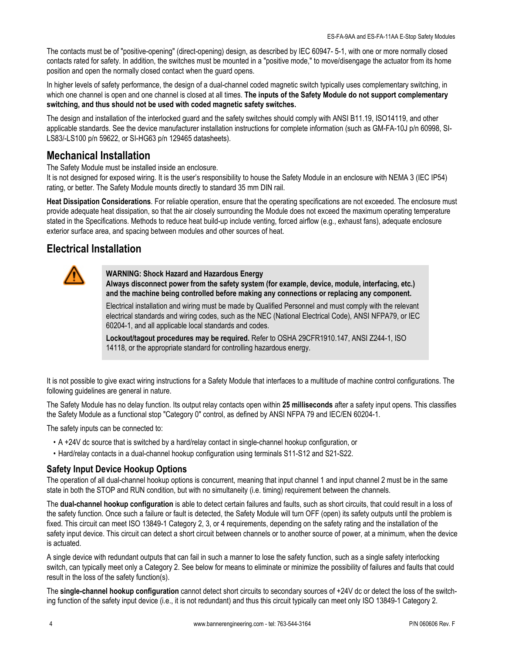The contacts must be of "positive-opening" (direct-opening) design, as described by IEC 60947- 5-1, with one or more normally closed contacts rated for safety. In addition, the switches must be mounted in a "positive mode," to move/disengage the actuator from its home position and open the normally closed contact when the guard opens.

In higher levels of safety performance, the design of a dual-channel coded magnetic switch typically uses complementary switching, in which one channel is open and one channel is closed at all times. **The inputs of the Safety Module do not support complementary switching, and thus should not be used with coded magnetic safety switches.**

The design and installation of the interlocked guard and the safety switches should comply with ANSI B11.19, ISO14119, and other applicable standards. See the device manufacturer installation instructions for complete information (such as GM-FA-10J p/n 60998, SI-LS83/-LS100 p/n 59622, or SI-HG63 p/n 129465 datasheets).

## **Mechanical Installation**

The Safety Module must be installed inside an enclosure.

It is not designed for exposed wiring. It is the user's responsibility to house the Safety Module in an enclosure with NEMA 3 (IEC IP54) rating, or better. The Safety Module mounts directly to standard 35 mm DIN rail.

**Heat Dissipation Considerations**. For reliable operation, ensure that the operating specifications are not exceeded. The enclosure must provide adequate heat dissipation, so that the air closely surrounding the Module does not exceed the maximum operating temperature stated in the Specifications. Methods to reduce heat build-up include venting, forced airflow (e.g., exhaust fans), adequate enclosure exterior surface area, and spacing between modules and other sources of heat.

## **Electrical Installation**



**WARNING: Shock Hazard and Hazardous Energy**

**Always disconnect power from the safety system (for example, device, module, interfacing, etc.) and the machine being controlled before making any connections or replacing any component.**

Electrical installation and wiring must be made by Qualified Personnel and must comply with the relevant electrical standards and wiring codes, such as the NEC (National Electrical Code), ANSI NFPA79, or IEC 60204-1, and all applicable local standards and codes.

**Lockout/tagout procedures may be required.** Refer to OSHA 29CFR1910.147, ANSI Z244-1, ISO 14118, or the appropriate standard for controlling hazardous energy.

It is not possible to give exact wiring instructions for a Safety Module that interfaces to a multitude of machine control configurations. The following guidelines are general in nature.

The Safety Module has no delay function. Its output relay contacts open within **25 milliseconds** after a safety input opens. This classifies the Safety Module as a functional stop "Category 0" control, as defined by ANSI NFPA 79 and IEC/EN 60204-1.

The safety inputs can be connected to:

- A +24V dc source that is switched by a hard/relay contact in single-channel hookup configuration, or
- Hard/relay contacts in a dual-channel hookup configuration using terminals S11-S12 and S21-S22.

### **Safety Input Device Hookup Options**

The operation of all dual-channel hookup options is concurrent, meaning that input channel 1 and input channel 2 must be in the same state in both the STOP and RUN condition, but with no simultaneity (i.e. timing) requirement between the channels.

The **dual-channel hookup configuration** is able to detect certain failures and faults, such as short circuits, that could result in a loss of the safety function. Once such a failure or fault is detected, the Safety Module will turn OFF (open) its safety outputs until the problem is fixed. This circuit can meet ISO 13849-1 Category 2, 3, or 4 requirements, depending on the safety rating and the installation of the safety input device. This circuit can detect a short circuit between channels or to another source of power, at a minimum, when the device is actuated.

A single device with redundant outputs that can fail in such a manner to lose the safety function, such as a single safety interlocking switch, can typically meet only a Category 2. See below for means to eliminate or minimize the possibility of failures and faults that could result in the loss of the safety function(s).

The **single-channel hookup configuration** cannot detect short circuits to secondary sources of +24V dc or detect the loss of the switching function of the safety input device (i.e., it is not redundant) and thus this circuit typically can meet only ISO 13849-1 Category 2.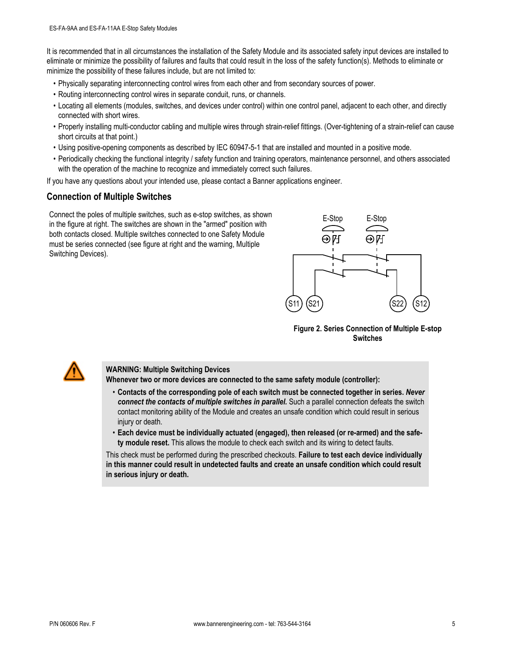It is recommended that in all circumstances the installation of the Safety Module and its associated safety input devices are installed to eliminate or minimize the possibility of failures and faults that could result in the loss of the safety function(s). Methods to eliminate or minimize the possibility of these failures include, but are not limited to:

- Physically separating interconnecting control wires from each other and from secondary sources of power.
- Routing interconnecting control wires in separate conduit, runs, or channels.
- Locating all elements (modules, switches, and devices under control) within one control panel, adjacent to each other, and directly connected with short wires.
- Properly installing multi-conductor cabling and multiple wires through strain-relief fittings. (Over-tightening of a strain-relief can cause short circuits at that point.)
- Using positive-opening components as described by IEC 60947-5-1 that are installed and mounted in a positive mode.
- Periodically checking the functional integrity / safety function and training operators, maintenance personnel, and others associated with the operation of the machine to recognize and immediately correct such failures.

If you have any questions about your intended use, please contact a Banner applications engineer.

### **Connection of Multiple Switches**

Connect the poles of multiple switches, such as e-stop switches, as shown in the figure at right. The switches are shown in the "armed" position with both contacts closed. Multiple switches connected to one Safety Module must be series connected (see figure at right and the warning, Multiple Switching Devices).



**Figure 2. Series Connection of Multiple E-stop Switches**



#### **WARNING: Multiple Switching Devices**

**Whenever two or more devices are connected to the same safety module (controller):**

- **Contacts of the corresponding pole of each switch must be connected together in series.** *Never connect the contacts of multiple switches in parallel.* Such a parallel connection defeats the switch contact monitoring ability of the Module and creates an unsafe condition which could result in serious injury or death.
- **Each device must be individually actuated (engaged), then released (or re-armed) and the safety module reset.** This allows the module to check each switch and its wiring to detect faults.

This check must be performed during the prescribed checkouts. **Failure to test each device individually in this manner could result in undetected faults and create an unsafe condition which could result in serious injury or death.**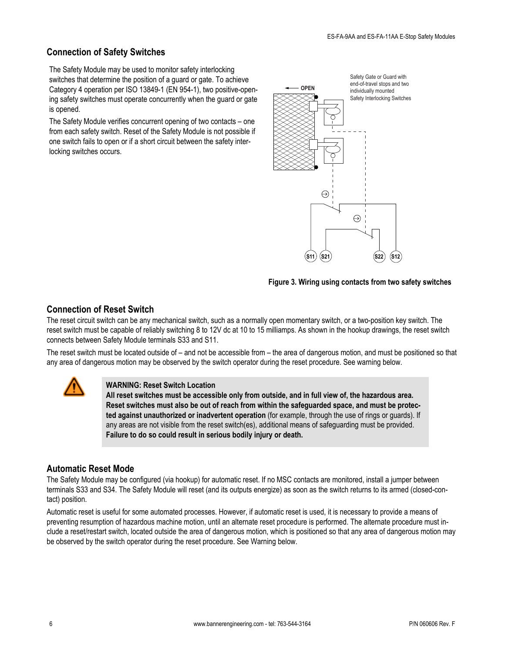### **Connection of Safety Switches**

The Safety Module may be used to monitor safety interlocking switches that determine the position of a guard or gate. To achieve Category 4 operation per ISO 13849-1 (EN 954-1), two positive-opening safety switches must operate concurrently when the guard or gate is opened.

The Safety Module verifies concurrent opening of two contacts – one from each safety switch. Reset of the Safety Module is not possible if one switch fails to open or if a short circuit between the safety interlocking switches occurs.



#### **Figure 3. Wiring using contacts from two safety switches**

### **Connection of Reset Switch**

The reset circuit switch can be any mechanical switch, such as a normally open momentary switch, or a two-position key switch. The reset switch must be capable of reliably switching 8 to 12V dc at 10 to 15 milliamps. As shown in the hookup drawings, the reset switch connects between Safety Module terminals S33 and S11.

The reset switch must be located outside of – and not be accessible from – the area of dangerous motion, and must be positioned so that any area of dangerous motion may be observed by the switch operator during the reset procedure. See warning below.



#### **WARNING: Reset Switch Location**

**All reset switches must be accessible only from outside, and in full view of, the hazardous area. Reset switches must also be out of reach from within the safeguarded space, and must be protected against unauthorized or inadvertent operation** (for example, through the use of rings or guards). If any areas are not visible from the reset switch(es), additional means of safeguarding must be provided. **Failure to do so could result in serious bodily injury or death.**

### **Automatic Reset Mode**

The Safety Module may be configured (via hookup) for automatic reset. If no MSC contacts are monitored, install a jumper between terminals S33 and S34. The Safety Module will reset (and its outputs energize) as soon as the switch returns to its armed (closed-contact) position.

Automatic reset is useful for some automated processes. However, if automatic reset is used, it is necessary to provide a means of preventing resumption of hazardous machine motion, until an alternate reset procedure is performed. The alternate procedure must include a reset/restart switch, located outside the area of dangerous motion, which is positioned so that any area of dangerous motion may be observed by the switch operator during the reset procedure. See Warning below.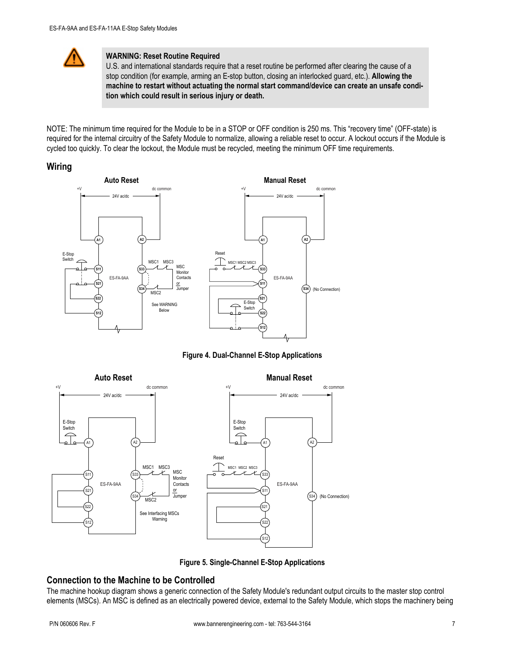

#### **WARNING: Reset Routine Required**

U.S. and international standards require that a reset routine be performed after clearing the cause of a stop condition (for example, arming an E-stop button, closing an interlocked guard, etc.). **Allowing the machine to restart without actuating the normal start command/device can create an unsafe condition which could result in serious injury or death.**

NOTE: The minimum time required for the Module to be in a STOP or OFF condition is 250 ms. This "recovery time" (OFF-state) is required for the internal circuitry of the Safety Module to normalize, allowing a reliable reset to occur. A lockout occurs if the Module is cycled too quickly. To clear the lockout, the Module must be recycled, meeting the minimum OFF time requirements.

### **Wiring**



**Figure 4. Dual-Channel E-Stop Applications**



**Figure 5. Single-Channel E-Stop Applications**

### **Connection to the Machine to be Controlled**

The machine hookup diagram shows a generic connection of the Safety Module's redundant output circuits to the master stop control elements (MSCs). An MSC is defined as an electrically powered device, external to the Safety Module, which stops the machinery being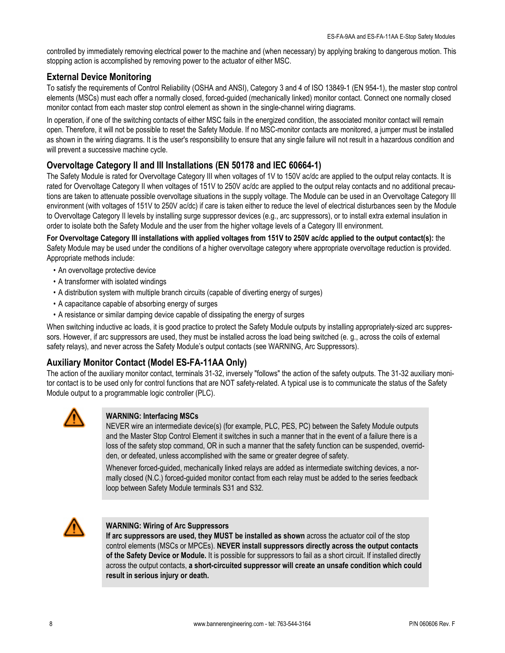<span id="page-7-0"></span>controlled by immediately removing electrical power to the machine and (when necessary) by applying braking to dangerous motion. This stopping action is accomplished by removing power to the actuator of either MSC.

### **External Device Monitoring**

To satisfy the requirements of Control Reliability (OSHA and ANSI), Category 3 and 4 of ISO 13849-1 (EN 954-1), the master stop control elements (MSCs) must each offer a normally closed, forced-guided (mechanically linked) monitor contact. Connect one normally closed monitor contact from each master stop control element as shown in the single-channel wiring diagrams.

In operation, if one of the switching contacts of either MSC fails in the energized condition, the associated monitor contact will remain open. Therefore, it will not be possible to reset the Safety Module. If no MSC-monitor contacts are monitored, a jumper must be installed as shown in the wiring diagrams. It is the user's responsibility to ensure that any single failure will not result in a hazardous condition and will prevent a successive machine cycle.

### **Overvoltage Category II and III Installations (EN 50178 and IEC 60664-1)**

The Safety Module is rated for Overvoltage Category III when voltages of 1V to 150V ac/dc are applied to the output relay contacts. It is rated for Overvoltage Category II when voltages of 151V to 250V ac/dc are applied to the output relay contacts and no additional precautions are taken to attenuate possible overvoltage situations in the supply voltage. The Module can be used in an Overvoltage Category III environment (with voltages of 151V to 250V ac/dc) if care is taken either to reduce the level of electrical disturbances seen by the Module to Overvoltage Category II levels by installing surge suppressor devices (e.g., arc suppressors), or to install extra external insulation in order to isolate both the Safety Module and the user from the higher voltage levels of a Category III environment.

**For Overvoltage Category III installations with applied voltages from 151V to 250V ac/dc applied to the output contact(s):** the Safety Module may be used under the conditions of a higher overvoltage category where appropriate overvoltage reduction is provided. Appropriate methods include:

- An overvoltage protective device
- A transformer with isolated windings
- A distribution system with multiple branch circuits (capable of diverting energy of surges)
- A capacitance capable of absorbing energy of surges
- A resistance or similar damping device capable of dissipating the energy of surges

When switching inductive ac loads, it is good practice to protect the Safety Module outputs by installing appropriately-sized arc suppressors. However, if arc suppressors are used, they must be installed across the load being switched (e. g., across the coils of external safety relays), and never across the Safety Module's output contacts (see WARNING, Arc Suppressors).

### **Auxiliary Monitor Contact (Model ES-FA-11AA Only)**

The action of the auxiliary monitor contact, terminals 31-32, inversely "follows" the action of the safety outputs. The 31-32 auxiliary monitor contact is to be used only for control functions that are NOT safety-related. A typical use is to communicate the status of the Safety Module output to a programmable logic controller (PLC).



### **WARNING: Interfacing MSCs**

NEVER wire an intermediate device(s) (for example, PLC, PES, PC) between the Safety Module outputs and the Master Stop Control Element it switches in such a manner that in the event of a failure there is a loss of the safety stop command, OR in such a manner that the safety function can be suspended, overridden, or defeated, unless accomplished with the same or greater degree of safety.

Whenever forced-guided, mechanically linked relays are added as intermediate switching devices, a normally closed (N.C.) forced-guided monitor contact from each relay must be added to the series feedback loop between Safety Module terminals S31 and S32.



#### **WARNING: Wiring of Arc Suppressors**

**If arc suppressors are used, they MUST be installed as shown** across the actuator coil of the stop control elements (MSCs or MPCEs). **NEVER install suppressors directly across the output contacts of the Safety Device or Module.** It is possible for suppressors to fail as a short circuit. If installed directly across the output contacts, **a short-circuited suppressor will create an unsafe condition which could result in serious injury or death.**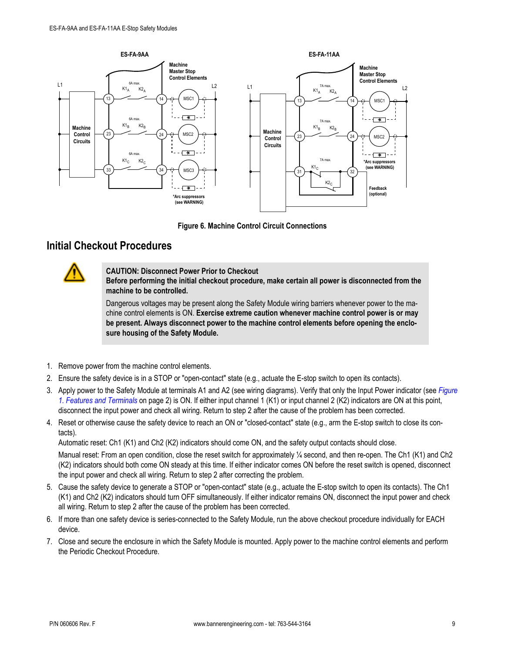

**Figure 6. Machine Control Circuit Connections**

## **Initial Checkout Procedures**



#### **CAUTION: Disconnect Power Prior to Checkout**

**Before performing the initial checkout procedure, make certain all power is disconnected from the machine to be controlled.**

Dangerous voltages may be present along the Safety Module wiring barriers whenever power to the machine control elements is ON. **Exercise extreme caution whenever machine control power is or may be present. Always disconnect power to the machine control elements before opening the enclosure housing of the Safety Module.**

- 1. Remove power from the machine control elements.
- 2. Ensure the safety device is in a STOP or "open-contact" state (e.g., actuate the E-stop switch to open its contacts).
- 3. Apply power to the Safety Module at terminals A1 and A2 (see wiring diagrams). Verify that only the Input Power indicator (see *[Figure](#page-1-0) [1. Features and Terminals](#page-1-0)* on page 2) is ON. If either input channel 1 (K1) or input channel 2 (K2) indicators are ON at this point, disconnect the input power and check all wiring. Return to step 2 after the cause of the problem has been corrected.
- 4. Reset or otherwise cause the safety device to reach an ON or "closed-contact" state (e.g., arm the E-stop switch to close its contacts).

Automatic reset: Ch1 (K1) and Ch2 (K2) indicators should come ON, and the safety output contacts should close.

Manual reset: From an open condition, close the reset switch for approximately ¼ second, and then re-open. The Ch1 (K1) and Ch2 (K2) indicators should both come ON steady at this time. If either indicator comes ON before the reset switch is opened, disconnect the input power and check all wiring. Return to step 2 after correcting the problem.

- 5. Cause the safety device to generate a STOP or "open-contact" state (e.g., actuate the E-stop switch to open its contacts). The Ch1 (K1) and Ch2 (K2) indicators should turn OFF simultaneously. If either indicator remains ON, disconnect the input power and check all wiring. Return to step 2 after the cause of the problem has been corrected.
- 6. If more than one safety device is series-connected to the Safety Module, run the above checkout procedure individually for EACH device.
- 7. Close and secure the enclosure in which the Safety Module is mounted. Apply power to the machine control elements and perform the Periodic Checkout Procedure.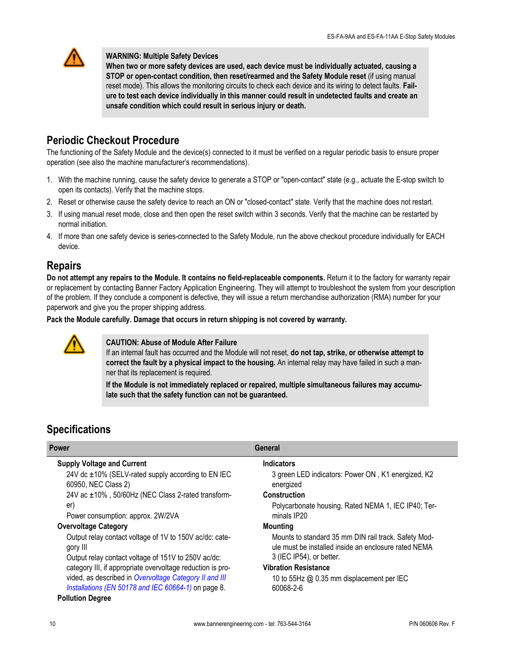

#### **WARNING: Multiple Safety Devices**

**When two or more safety devices are used, each device must be individually actuated, causing a STOP or open-contact condition, then reset/rearmed and the Safety Module reset** (if using manual reset mode). This allows the monitoring circuits to check each device and its wiring to detect faults. **Failure to test each device individually in this manner could result in undetected faults and create an unsafe condition which could result in serious injury or death.**

## **Periodic Checkout Procedure**

The functioning of the Safety Module and the device(s) connected to it must be verified on a regular periodic basis to ensure proper operation (see also the machine manufacturer's recommendations).

- 1. With the machine running, cause the safety device to generate a STOP or "open-contact" state (e.g., actuate the E-stop switch to open its contacts). Verify that the machine stops.
- 2. Reset or otherwise cause the safety device to reach an ON or "closed-contact" state. Verify that the machine does not restart.
- 3. If using manual reset mode, close and then open the reset switch within 3 seconds. Verify that the machine can be restarted by normal initiation.
- 4. If more than one safety device is series-connected to the Safety Module, run the above checkout procedure individually for EACH device.

## **Repairs**

**Do not attempt any repairs to the Module. It contains no field-replaceable components.** Return it to the factory for warranty repair or replacement by contacting Banner Factory Application Engineering. They will attempt to troubleshoot the system from your description of the problem. If they conclude a component is defective, they will issue a return merchandise authorization (RMA) number for your paperwork and give you the proper shipping address.

**Pack the Module carefully. Damage that occurs in return shipping is not covered by warranty.**



#### **CAUTION: Abuse of Module After Failure**

If an internal fault has occurred and the Module will not reset, **do not tap, strike, or otherwise attempt to correct the fault by a physical impact to the housing.** An internal relay may have failed in such a manner that its replacement is required.

**If the Module is not immediately replaced or repaired, multiple simultaneous failures may accumulate such that the safety function can not be guaranteed.**

## **Specifications**

| <b>Power</b>                                                                                                               | General                                                                                                                                  |
|----------------------------------------------------------------------------------------------------------------------------|------------------------------------------------------------------------------------------------------------------------------------------|
| <b>Supply Voltage and Current</b>                                                                                          | <b>Indicators</b>                                                                                                                        |
| 24V dc ±10% (SELV-rated supply according to EN IEC<br>60950, NEC Class 2)                                                  | 3 green LED indicators: Power ON, K1 energized, K2<br>energized                                                                          |
| 24V ac ±10%, 50/60Hz (NEC Class 2-rated transform-                                                                         | <b>Construction</b>                                                                                                                      |
| er)<br>Power consumption: approx. 2W/2VA                                                                                   | Polycarbonate housing. Rated NEMA 1, IEC IP40; Ter-<br>minals IP20                                                                       |
| <b>Overvoltage Category</b>                                                                                                | <b>Mounting</b>                                                                                                                          |
| Output relay contact voltage of 1V to 150V ac/dc: cate-<br>gory III<br>Output relay contact voltage of 151V to 250V ac/dc: | Mounts to standard 35 mm DIN rail track. Safety Mod-<br>ule must be installed inside an enclosure rated NEMA<br>3 (IEC IP54), or better. |
| category III, if appropriate overvoltage reduction is pro-                                                                 | <b>Vibration Resistance</b>                                                                                                              |
| vided, as described in Overvoltage Category II and III<br>Installations (EN 50178 and IEC 60664-1) on page 8.              | 10 to 55Hz @ 0.35 mm displacement per IEC<br>60068-2-6                                                                                   |
| <b>Pollution Degree</b>                                                                                                    |                                                                                                                                          |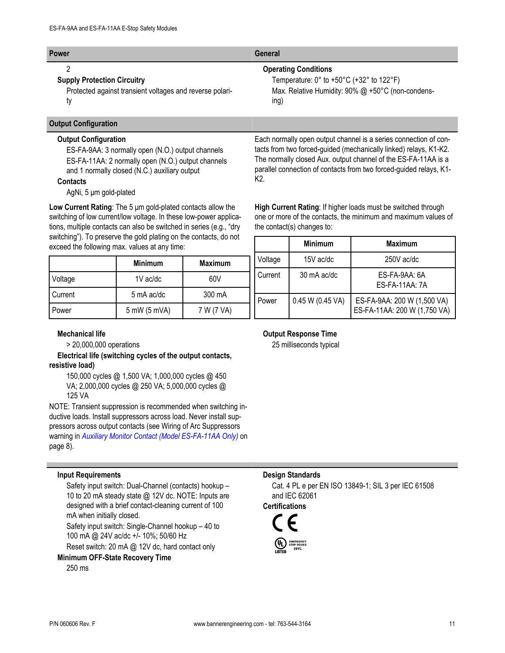| <b>Power</b>                                                   | General                                                                   |
|----------------------------------------------------------------|---------------------------------------------------------------------------|
|                                                                | <b>Operating Conditions</b>                                               |
| <b>Supply Protection Circuitry</b>                             | Temperature: $0^\circ$ to +50 $^\circ$ C (+32 $^\circ$ to 122 $^\circ$ F) |
| Protected against transient voltages and reverse polari-<br>tv | Max. Relative Humidity: 90% @ +50°C (non-condens-<br>ing)                 |

#### **Output Configuration**

#### **Output Configuration**

ES-FA-9AA: 3 normally open (N.O.) output channels ES-FA-11AA: 2 normally open (N.O.) output channels and 1 normally closed (N.C.) auxiliary output

#### **Contacts**

AgNi, 5 μm gold-plated

**Low Current Rating**: The 5 μm gold-plated contacts allow the switching of low current/low voltage. In these low-power applications, multiple contacts can also be switched in series (e.g., "dry switching"). To preserve the gold plating on the contacts, do not exceed the following max. values at any time:

|         | <b>Minimum</b> | <b>Maximum</b> |
|---------|----------------|----------------|
| Voltage | 1V ac/dc       | 60V            |
| Current | 5 mA ac/dc     | 300 mA         |
| Power   | 5 mW (5 mVA)   | 7 W (7 VA)     |

#### **Mechanical life**

> 20,000,000 operations

**Electrical life (switching cycles of the output contacts, resistive load)**

150,000 cycles @ 1,500 VA; 1,000,000 cycles @ 450 VA; 2,000,000 cycles @ 250 VA; 5,000,000 cycles @ 125 VA

NOTE: Transient suppression is recommended when switching inductive loads. Install suppressors across load. Never install suppressors across output contacts (see Wiring of Arc Suppressors warning in *[Auxiliary Monitor Contact \(Model ES-FA-11AA Only\)](#page-7-0)* on page 8).

#### **Input Requirements**

Safety input switch: Dual-Channel (contacts) hookup – 10 to 20 mA steady state @ 12V dc. NOTE: Inputs are designed with a brief contact-cleaning current of 100 mA when initially closed.

Safety input switch: Single-Channel hookup – 40 to 100 mA @ 24V ac/dc +/- 10%; 50/60 Hz

Reset switch: 20 mA @ 12V dc, hard contact only

**Minimum OFF-State Recovery Time**

250 ms

Each normally open output channel is a series connection of contacts from two forced-guided (mechanically linked) relays, K1-K2. The normally closed Aux. output channel of the ES-FA-11AA is a parallel connection of contacts from two forced-guided relays, K1- K2.

**High Current Rating**: If higher loads must be switched through one or more of the contacts, the minimum and maximum values of the contact(s) changes to:

|         | <b>Minimum</b>   | <b>Maximum</b>                                              |
|---------|------------------|-------------------------------------------------------------|
| Voltage | 15V ac/dc        | $250V$ ac/dc                                                |
| Current | 30 mA ac/dc      | ES-FA-9AA: 6A<br><b>ES-FA-11AA: 7A</b>                      |
| Power   | 0.45 W (0.45 VA) | ES-FA-9AA: 200 W (1,500 VA)<br>ES-FA-11AA: 200 W (1,750 VA) |

#### **Output Response Time**

25 milliseconds typical

#### **Design Standards**

Cat. 4 PL e per EN ISO 13849-1; SIL 3 per IEC 61508 and IEC 62061

**Certifications**

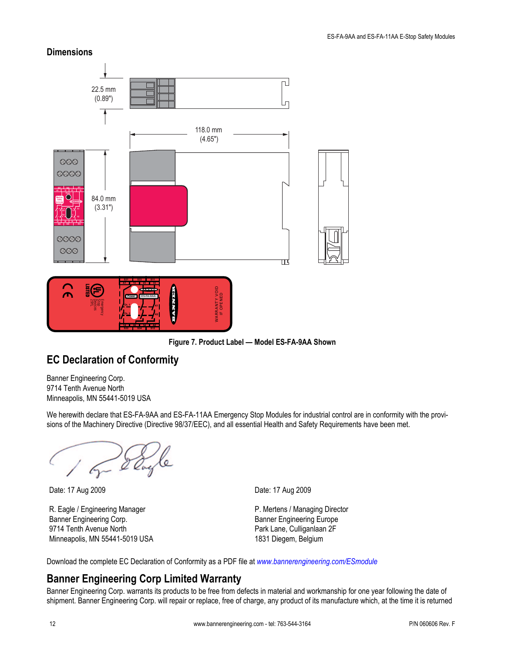### **Dimensions**



**Figure 7. Product Label — Model ES-FA-9AA Shown**

## **EC Declaration of Conformity**

Banner Engineering Corp. 9714 Tenth Avenue North Minneapolis, MN 55441-5019 USA

We herewith declare that ES-FA-9AA and ES-FA-11AA Emergency Stop Modules for industrial control are in conformity with the provisions of the Machinery Directive (Directive 98/37/EEC), and all essential Health and Safety Requirements have been met.

R. Eagle / Engineering Manager Banner Engineering Corp. 9714 Tenth Avenue North Minneapolis, MN 55441-5019 USA

Date: 17 Aug 2009 Date: 17 Aug 2009

P. Mertens / Managing Director Banner Engineering Europe Park Lane, Culliganlaan 2F 1831 Diegem, Belgium

Download the complete EC Declaration of Conformity as a PDF file at *[www.bannerengineering.com/ESmodule](http://www.bannerengineering.com/ESmodule)*

## **Banner Engineering Corp Limited Warranty**

Banner Engineering Corp. warrants its products to be free from defects in material and workmanship for one year following the date of shipment. Banner Engineering Corp. will repair or replace, free of charge, any product of its manufacture which, at the time it is returned